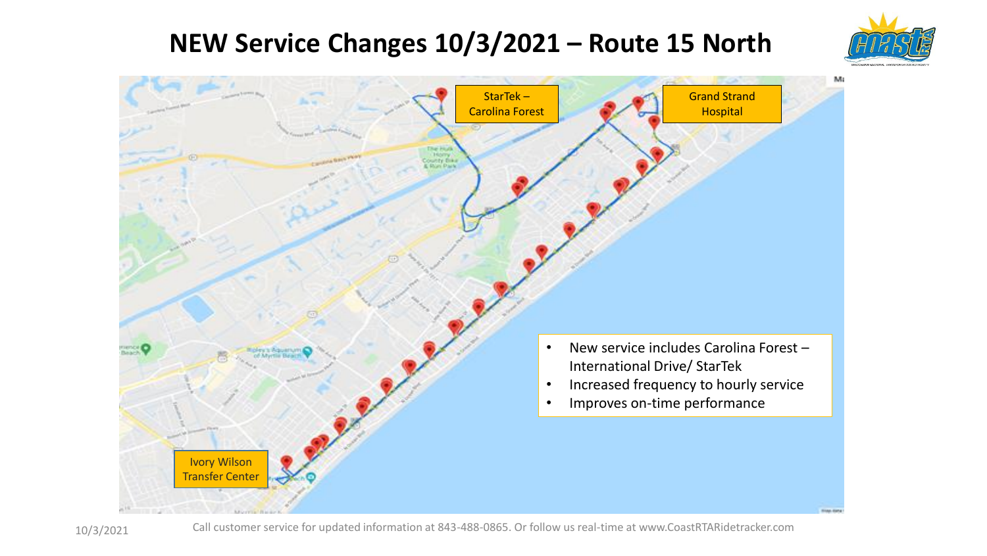## **NEW Service Changes 10/3/2021 – Route 15 North**





10/3/2021 Call customer service for updated information at 843-488-0865. Or follow us real-time at www.CoastRTARidetracker.com